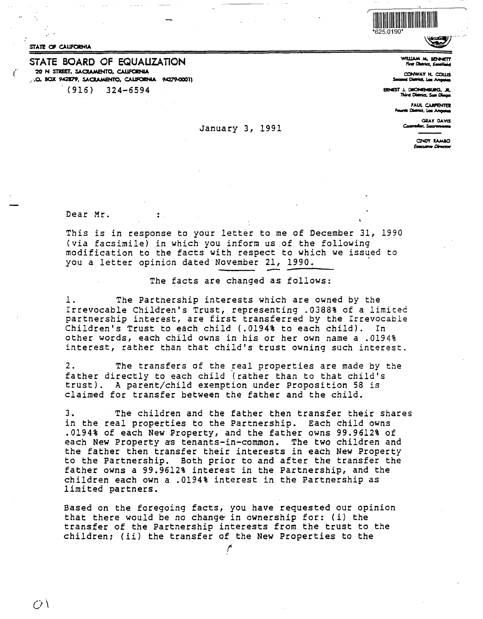

STATE OF CALIFORNIA

## STATE **BOARD** OF EQUAUZATION "20 **N STREET, SACRAMENTO, CALIFORNIA** ..•0. **BOX 9"'2879, SAOAMENTO, C\UfOIINIA 9A279-0001)**  (916} 324-6594

January 3, 1991

# WILLIAM M. SENNETT<br>First District, Kenefield<br>CONWAY H. COULS

**CJ:IHWA.Y H. C0WS s......a..,\_i..,.,...** 

**BINES1'** J. **0110NEH1laG, .ll. TllirdCillrict.S.a..,o** 

**PAUL CARPENTER**<br>District, Los Angeles

GRAY DAVIS<br>Con<mark>evoder</mark>, Sacromento

CINDY RAMBO Executive Director

Dear Mr.

.<br>.<br>.

This is in response to your letter to me of December 31, 1990 (via facsimile) in which you inform us .of the following modification to the facts with respect to which we issued to you a letter opinion dated November 21, 1990.

### The facts are changed as follows:

1. The Partnership interests which are owned by the Irrevocable Children's Trust, representing .0388% of a limited partnership interest, are first transferred by the Irrevocable Children's Trust to each child (.0194% to each child). In other words, each child owns in his or her own name a .0194% interest, rather than that child's trust owning such interest.

2. The transfers of the *Feal* properties are made by the father directly to each *child* (rather than to that child's trust). A parent/child exemption under Proposition 58 is claimed for transfer between the father and the child.

3. The children and the father then transfer their shares in the real properties to the Partnership. Each child owns .0194% of each New Property, and the father owns 99.9612% of each New Property as tenants-in-common. The two children and the father then transfer their interests in each New Property to the Partnership. Both prior to and after the transfer the father owns a 99.9612% interest in the Partnership, and the children each own *a* .0194% interest in the Partnership as limited partners.

Based on the foregoing facts, you have requested our opinion that there would be no change in ownership for: (i) the transfer of the Partnership interests from the trust to the children; (ii) the transfer of the New Properties to the

*('* 

 $\overline{C}$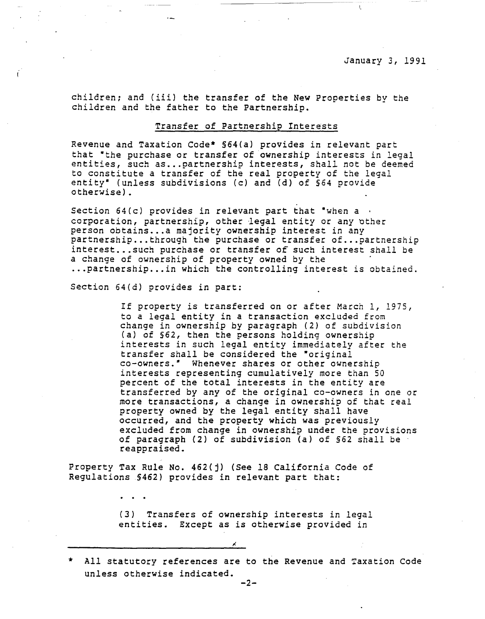children; and (iii) the transfer of the New Properties by the children and the father to the Partnership.

### Transfer of Partnership Interests

Revenue and Taxation Code\* §64(a) provides in relevant part that "the purchase or transfer of ownership interests in legal entities, such as... partnership interests, shall not be deemed to constitute a transfer of the real property of the legal entity• (unless subdivisions (c) and (d) of §64 provide otherwise).

Section  $64(c)$  provides in relevant part that "when a  $\cdot$ corporation, partnership, other legal entity or any other person obtains .•. a majority ownership interest in any partnership •.. through the purchase or transfer of ... partnership interest...such purchase or transfer of such interest shall be a change of ownership of property owned by the ... partnership... in which the controlling interest is obtained.

Section 64(d) provides in part:

If property is transferred on or after March 1, 1975, to a legal entity in a transaction excluded from change in ownership by paragraph (2) of subdivision (a) of §62, then the persons holding ownership interests in such legal entity immediately after the transfer shall be considered the "original co-owners.• Whenever shares or other ownership interests representing cumulatively more than 50 percent of the total interests in the entity are transferred by any of the original co-owners in one or more transactions, a change in ownership of that real property owned by the legal entity shall have occurred, and the property which was previously excluded from change in ownership under the provisions of paragraph (2) of subdivision (a) of §62 shall be· reappraised.

Property Tax Rule No. 462(j) (See 18 California Code of Regulations §462) provides in relevant part that:

> (3) Transfers of ownership interests in legal entities. Except as is otherwise provided in

All statutory references are to the Revenue and Taxation Code unless otherwise indicated.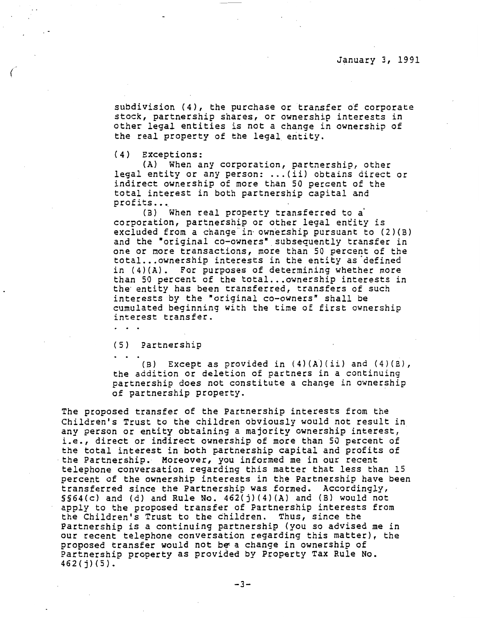subdivision (4), the purchase or transfer of corporate stock, partnership shares, or ownership interests in other legal entities is not a change in ownership of the real property of the legal entity.

(4) Exceptions:

(A) When any corporation, partnership, other legal entity or any person: ... (ii) obtains direct or indirect ownership of more than SO percent of the total interest in both partnership capital and profits...

(B) When real property transferred to a' corporation, partnership or other legal entity is excluded from a change in ownership pursuant to  $(2)(B)$ and the "original co-owners" subsequently transfer in one or more transactions, more than 50 percent of the total... ownership interests in the entity as defined in (4)(A). For purposes of determining whether more than SO percent of the total ... ownership interests in the entity has been transferred, transfers of such interests by the "original co-owners" shall be cumulated beginning with the time of first ownership interest transfer.

(5) Partnership

(B) Except as provided in  $(4)(A)(ii)$  and  $(4)(B)$ , the addition or deletion of partners in a continuing partnership does not constitute a change in ownership of partnership property.

The proposed transfer of the Partnership interests from the Children's Trust to the children obviously would not result in any person or entity obtaining a majority ownership interest, i.e., direct or indirect ownership of more than SO percent of the total interest in both partnership capital and profits of<br>the Partnership. Moreover, you informed me in our recent telephone conversation regarding this matter that less than 15 percent of the ownership interests in the Partnership have been transferred since the Partnership was formed. Accordingly, §§64(c) and (d) and Rule No. 462(j)(4)(A) and (B) would not apply to the proposed transfer of Partnership interests from the Children's Trust to the children. Thus, since the Partnership is a continuing partnership (you so advised me in our recent telephone conversation regarding this matter), the proposed transfer would not be- a change in ownership of Partnership property as provided by Property Tax Rule No. 462(j)(S).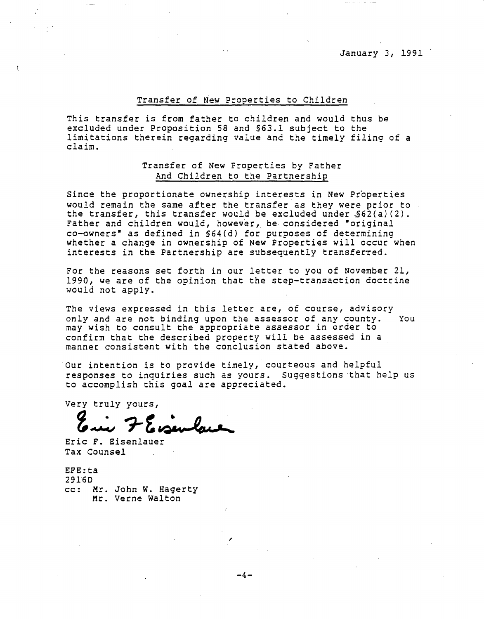January 3, 1991 ·

### Transfer of New Properties *to* Children

This transfer *is* from father to children and would thus be excluded under Proposition 58 and §63.l subject *to* the limitations therein regarding value and the timely filing of a claim.

# Transfer of New Properties by Father And Children to the Partnership

Since the proportionate ownership interests in New Properties would remain the same after the transfer as they were prior to the transfer, this transfer would be excluded under  $$62(a)(2)$ . Father and children would, however, be considered "original co-owners• as defined in §64(d) for purposes of determining whether a change in ownership of New Properties will occur when interests in the Partnership are subsequently transferred.

For the reasons *set* forth in our letter to you of November 21, 1990, we are of the opinion that the step-transaction doctrine would not apply.

The views expressed in this letter are, of course, advisory only and are not binding upon the assessor of any county. You may wish to consult the appropriate assessor in order to confirm that the described property will be assessed in a manner consistent with the conclusion stated above.

Our intention is to provide timely, courteous and helpful responses to inquiries such as yours. Suggestions ·that help us to accomplish this goal are appreciated.

Very truly yours,

ry truly yours,<br>**Enie 7 E. sembaux** 

Eric F. Eisenlauer Tax Counsel

EFE:ta 2916D cc: Mr. John w. Hagerty Mr. Verne Walton

-4-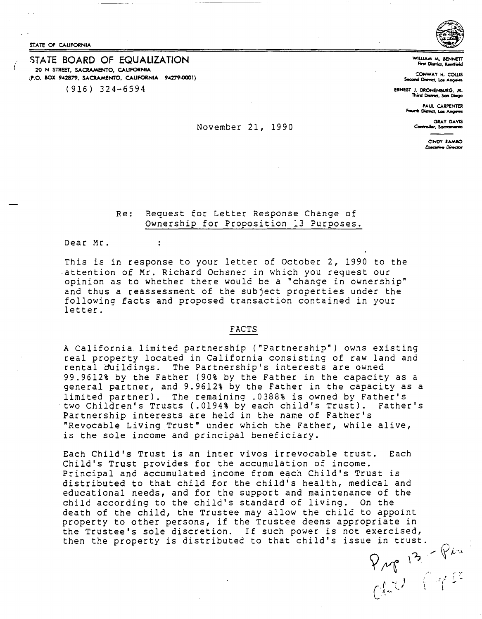STATE Of CALIFORNIA

### STATE BOARD OF EQUALIZATION 20 N STREET, **SACRAMENTO, CALIFORNIA ,P.O. BOX 9-'2879, SACRAMENTO, CALIFORNIA 94279-0001)**  (916) 324-6594



WILLIAM M. BENNETT

**CONWAY H. COWS Second District, Los Angeles** 

**ERNEST** J. **ORONENBURG, JR. Thwd Oidrict, San OioQo** 

**PAUL CARPENTER**<br>The District, Los Angeles

CINDY RAMBO **Executive Director** 

# GRAY DAVIS<br> **CONVERIDEL 21, 1990** Computer, Society Art Convention, *Computer*, Society Art Convention

## Re: Request for Letter Response Change of Ownership for Proposition 13 Purposes.

Dear Mr.

 $\ddot{\cdot}$ 

This is in response to your letter of October 2, 1990 to the .attention of Mr. Richard Ochsner in which you request our opinion as to whether there would be a "change in ownership" and thus a reassessment of the subject properties under the following facts and proposed transaction contained in your letter.

#### **FACTS**

A California. limited partnership ("Partnership") owns existing real property located in California consisting of raw land and rental buildings. The Partnership's interests are owned 99.9612% by the Father (90% by the Father in the capacity as a general partner, and 9.9612% by the Father in the capacity as a limited partner). The remaining .0388% is owned by Father's two Chilqren's Trusts (.0194% by each child's Trust). Father's Partnership interests are held in the name of Father's "Revocable Living Trust" under which the Father, while alive, is the sole income and principal beneficiary.

Each Child's Trust is an inter vivos irrevocable trust. Each Child's Trust provides for the accumulation of income. Principal and accumulated income from each Child's Trust *is*  distributed to that child for the child's health, medical and educational needs, and for the support and maintenance of the child according to the child's standard of living. On the death of the child, the Trustee may allow the child to appoint property to other persons, if the Trustee deems appropriate in the Trustee's sole discretion. If such power is not exercised, then the property is distributed to that child's issue in trust.<br> $P_{\mu q} P_{\mu}$ <br> $\begin{bmatrix} P_{\mu} & P_{\mu} \\ P_{\mu} & P_{\mu} \end{bmatrix}$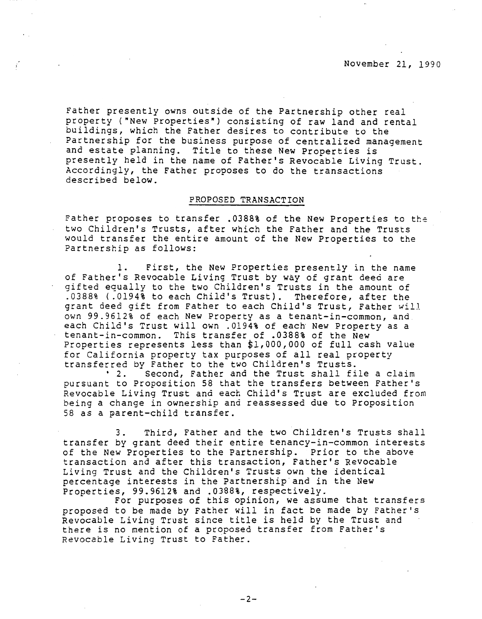Father presently owns outside of the Partnership other real property ("New Properties") consisting of raw land and rental buildings, which the Father desires to contribute to the Partnership for the business purpose of centralized management and estate planning. Title to these New Properties is presently held in the name of Father's Revocable Living Trust. Accordingly, the Father proposes to do the transactions described below.

### **PROPOSED TRANSACTION**

Father proposes to transfer .0388% of the New Properties to the two Children's Trusts, after which the Father and the Trusts would transfer the entire amount of the New Properties to the Partnership as follows:

1. First, the New Properties presently in the name of Father's Revocable Living Trust by way of grant deed are gifted equally to the two Children's Trusts in the amount of .0388% ( .0194% to each Child's Trust). Therefore, after the grant deed gift from Father to each Child's Trust, Father will own 99.9612% of each New Property as a tenant-in-common, and each Child's Trust will own .0194% of each New Property as a tenant-in-common. This transfer of .0388% of the New Properties represents less than \$1,000,000 of full cash value for California property tax purposes of all real property transferred by Father to the two Children's Trusts.<br>2. Second, Father and the Trust shall fi Second, Father and the Trust shall file a claim pursuant to Proposition 58 that the transfers between Father's Revocable Living Trust and each Child's Trust are excluded from being a change in ownership and reassessed due to Proposition

3. Third, Father and the two Children's Trusts shall transfer by grant deed their entire tenancy-in-common interests of the New Properties to the Partnership. Prior to the above transaction and after this transaction, Father's Revocable Living Trust and the Children's Trusts own the identical percentage interests in the Partnership and in the New Properties, 99.9612% and .0388%, respectively.

58 as a parent-child transfer.

For purposes of this opinion, we assume that transfers proposed to be made by Father will in fact be made by Father's Revocable Living Trust since title is held by the Trust and there is no mention of a proposed transfer from Father's Revocable Living Trust to Father.

 $-2-$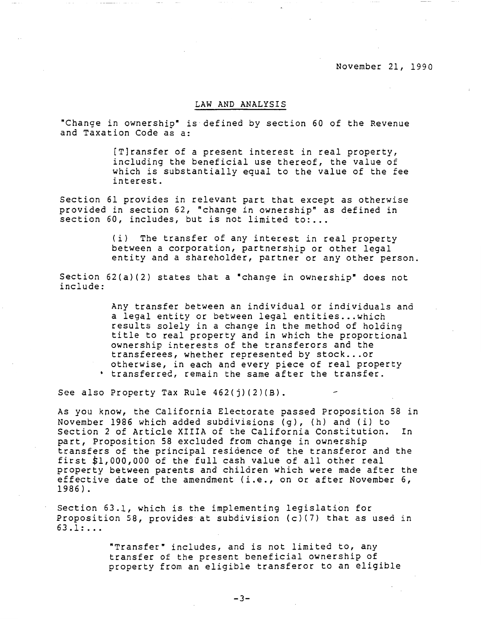### LAW AND ANALYSIS

"Change in ownership" is defined by section 60 of the Revenue and Taxation Code as a:

> [T]ransfer of a present interest in real property, including the beneficial use thereof, the value of which is substantially equal to the value of the fee interest.

Section 61 provides in relevant part that except as otherwise provided in section 62, "change in ownership" as defined in section 60, includes, but is not limited to:...

> (i) The transfer of any interest in real property between a corporation, partnership or other legal entity and a shareholder, partner or any other person.

Section 62(a)(2) states that a "change in ownership" does not include:

> Any transfer between an individual or individuals and a legal entity or between legal entities... which results solely in a change in the method of holding title to real property and in which the proportional ownership interests of the transferors and the transferees, whether represented by stock ... or otherwise, in each and every piece of real property transferred, remain the same after the transfer.

See also Property Tax Rule 462(j)(2)(B).

As you know, the California Electorate passed Proposition 58 in November 1986 which added subdivisions {g), (h) and {i) to Section 2 of Article **XIIIA** of the California Constitution. In part, Proposition 58 excluded from change in ownership transfers of the principal residence of the transferor and the first \$1,000,000 of the full cash value of all other real property between parents and children which were made after the effective date of the amendment (i.e., on or after November 6, 1986).

Section 63.1, which is the implementing legislation for Proposition 58, provides at subdivision (c)(7) that as used in 63.1: ...

> "Transfer" includes, and is not limited to, any transfer of the present beneficial ownership of property from an eligible transferor to an eligible

> > -3-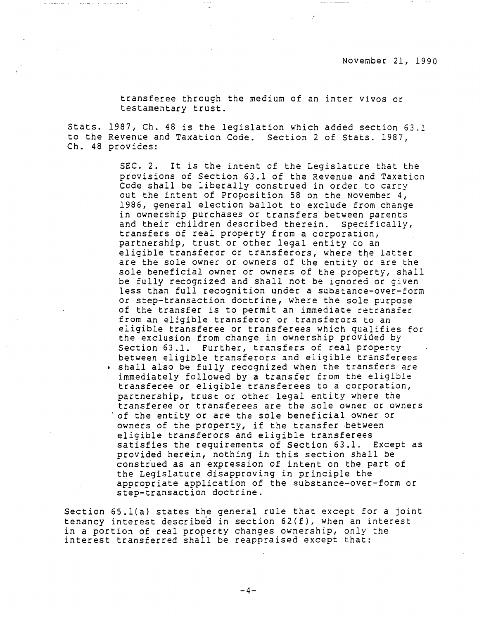transferee through the medium of an inter vivos or testamentary trust.

Stats. 1987, Ch. 48 is the legislation which added section 63.l to the Revenue and Taxation Code. Section 2 of Stats. 1987, Ch. 48 provides:

 $\sim$ 

SEC. 2. It is the intent of the Legislature that the provisions of Section 63.1 of the Revenue and Taxation Code shall be Liberally construed in order to carry out the intent of Proposition 58 on the November 4, 1986, general election ballot to exclude from change in ownership purchases or transfers between parents and their children described therein. Specifically, transfers of real property from a corporation, partnership, trust or other legal entity to an eligible transferor or transferors, where the latter are the sole owner or owners of the entity or are the sole beneficial owner or owners of the property, shall be fully recognized and shall not be ignored or given less than full recognition under a substance-over-form or step-transaction doctrine, where the sole purpose of the transfer is to permit an immediate retransfer from an eligible transferor or transferors to an eligible transferee or transferees which qualifies for the exclusion from change in ownership provided by Section 63.1. Further, transfers of real property between eligible transferors and eligible transferees • shall also be fully recognized when the transfers are immediately followed by a transfer from the eligible transferee or eligible transferees to a corporation, partnership, trust or other legal entity where the transferee or transferees are the sole owner or owners 'of the entity or are the sole beneficial owner or owners of the property, if the transfer between eligible transferors and eligible transferees satisfies the requirements of Section 63.1. Except as provided herein, nothing in this section shall be construed as an expression of intent on the part of the Legislature disapproving in principle the appropriate application of the substance-over-form or step-transaction doctrine.

Section 65.l(a) states the general rule that except for a joint tenancy interest described in section  $62(f)$ , when an interest in a portion of real property changes ownership, only the interest transferred shall be reappraised except that:

 $-4-$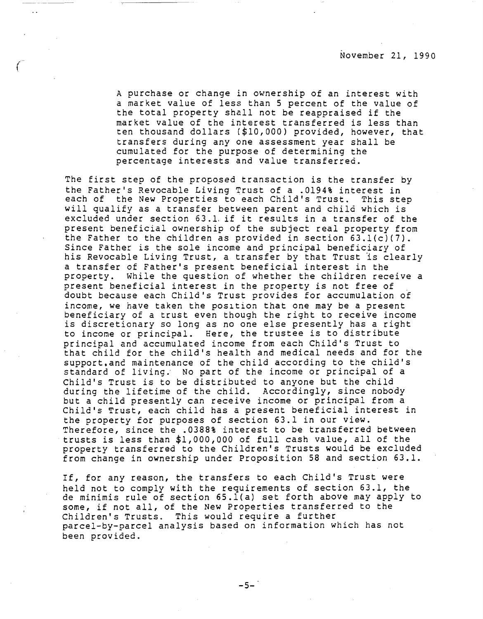A purchase or change in ownership of an interest with a market value of less than 5 percent of the value of the total property shall not be reappraised if the market value of the interest transferred is less than ten thousand dollars (\$10,000) provided, however, that transfers during any one assessment year shall be cumulated for the purpose of determining the percentage interests and value transferred.

The first step of the proposed transaction is the transfer by the Father's Revocable Living Trust of a .0194% interest in each of the New Properties to each Child's Trust. This step will qualify as a transfer between parent and child which is excluded under section 63 .1, if it results in a transfer of the present beneficial ownership of the subject real property from the Father to the children as provided in section 63.l(c)(7). Since Father is the sole income and principal beneficiary of his Revocable Living Trust, a transfer by that Trust is clearly a transfer of Father's present beneficial interest in the property. While the question of whether the children receive a present beneficial interest in the property is not free of doubt because each Child's Trust provides for accumulation of income, we have taken the position that one may be a present beneficiary of a trust even though the right to receive income is discretionary so long as no one else presently has a right to income or principal. Here, the trustee is to distribute principal and accumulated income from each Child's Trust to that child for the child's health and medical needs and for the support.and maintenance of the child according to the child's standard of living. No part of the income or principal of a Child's Trust is to be distributed to anyone but the child during the lifetime of the child. Accordingly, since nobody but a child presently can receive income or principal from a Child's Trust, each child has a present beneficial interest in the property for purposes of section 63.1 in our view. Therefore, since the .0388% interest to be transferred between trusts is less than \$1,000,000 of full cash value, all of the property transferred to the Children's Trusts would be excluded from change in ownership under Proposition 58 and section 63.1.

If, for any reason, the transfers to each Child's Trust were held not to comply with the requirements of section 63.1, the de minimis rule of section 65.l(a) set forth above may apply to some, if not all, of the New Properties transferred to the Children's Trusts. This would require a further parcel-by-parcel analysis based on information which has not been provided.

 $-5-$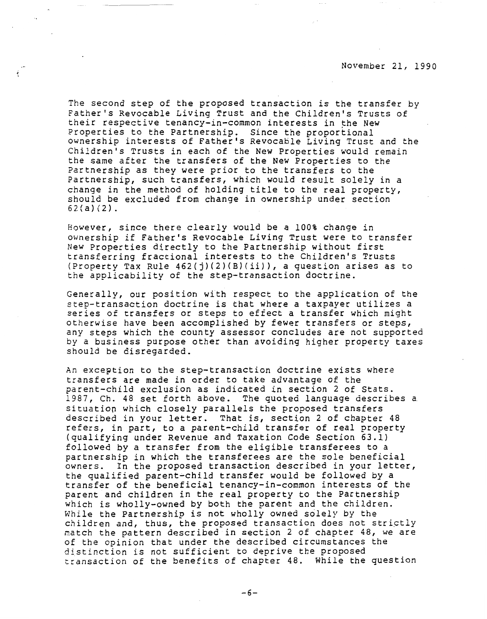The second step of the proposed transaction is the transfer by Father's Revocable Living Trust and the Children's Trusts of their respective tenancy-in-common interests in the New Properties to the Partnership. Since the proportional ownership interests of Father's Revocable Living Trust and the Children's Trusts in each of the New Properties would remain the same after the transfers of the New Properties to the Partnership as they were prior to the transfers to the Partnership, such transfers, which would result solely in a change in the method of holding title to the real property, should be excluded from change in ownership under section 62{a) (2).

However, since there clearly would be a 100% change in ownership if Father's Revocable Living Trust were to transfer New Properties directly to the Partnership without first transferring fractional interests to the Children's Trusts (Property Tax Rule  $462(j)(2)(B)(ii)$ ), a question arises as to the applicability of the step-transaction doctrine.

Generally, our position with respect to the application of the step-transaction doctrine is that where a taxpayer utilizes a series of transfers or steps to effect a transfer which might otherwise have been accomplished by fewer transfers or steps, any steps which the county assessor concludes are not supported by a business purpose other than avoiding higher property taxes should be disregarded.

An exception to the step-transaction doctrine exists where transfers are made in order to take advantage of the parent-child exclusion as indicated in section 2 of Stats. 1987, Ch. 48 set forth above. The quoted language describes a. situation which closely parallels the proposed transfers described in your letter. That is, section 2 of chapter 48 refers, in part, to a parent-child transfer of real property (qualifying under Revenue and Taxation Code Section 63.1) followed by a transfer from the eligible transferees to a partnership in which the transferees are the sole beneficial owners. In the proposed transaction described in your letter, the qualified parent~child transfer would be followed by a transfer of the beneficial tenancy-in-common interests of the parent and children in the real property to the Partnership which is wholly-owned by both the parent and the children. While the Partnership is not wholly owned solely by the children and, thus, the proposed transaction does not strictly match the pattern described in section 2 of chapter 48, we are of the opinion that under the described circumstances the distinction is not sufficient to deprive the proposed transaction of the benefits of chapter 48. While the question

-6-